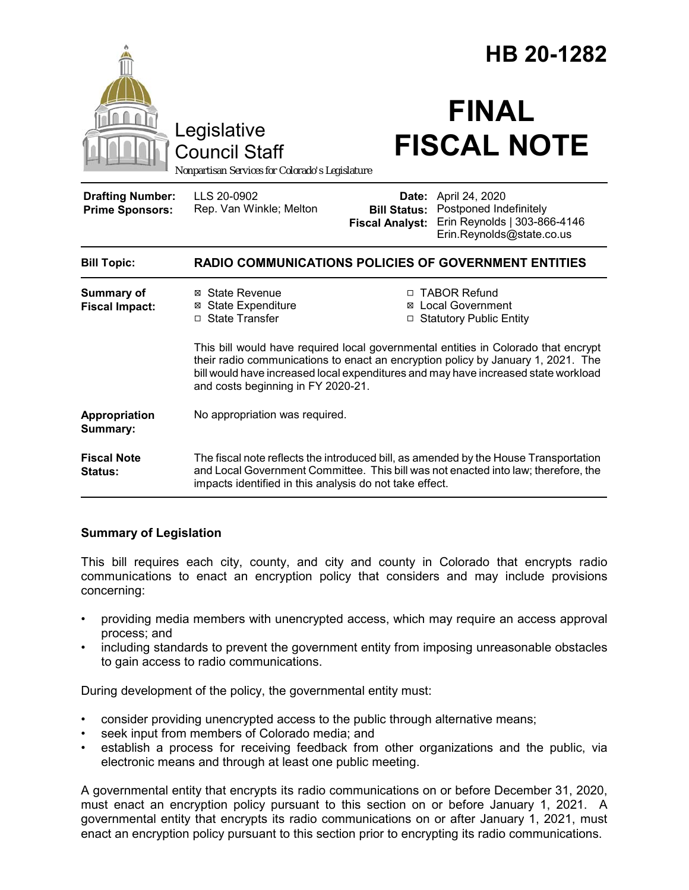|                                                   |                                                                                                                                                                                                                                                                                                    | HB 20-1282                                                                                                                                                |
|---------------------------------------------------|----------------------------------------------------------------------------------------------------------------------------------------------------------------------------------------------------------------------------------------------------------------------------------------------------|-----------------------------------------------------------------------------------------------------------------------------------------------------------|
|                                                   | Legislative<br><b>Council Staff</b><br>Nonpartisan Services for Colorado's Legislature                                                                                                                                                                                                             | <b>FINAL</b><br><b>FISCAL NOTE</b>                                                                                                                        |
| <b>Drafting Number:</b><br><b>Prime Sponsors:</b> | LLS 20-0902<br>Rep. Van Winkle; Melton                                                                                                                                                                                                                                                             | Date: April 24, 2020<br><b>Bill Status: Postponed Indefinitely</b><br>Erin Reynolds   303-866-4146<br><b>Fiscal Analyst:</b><br>Erin.Reynolds@state.co.us |
| <b>Bill Topic:</b>                                | <b>RADIO COMMUNICATIONS POLICIES OF GOVERNMENT ENTITIES</b>                                                                                                                                                                                                                                        |                                                                                                                                                           |
| <b>Summary of</b><br><b>Fiscal Impact:</b>        | ⊠ State Revenue<br><b>⊠</b> State Expenditure<br>□ State Transfer                                                                                                                                                                                                                                  | □ TABOR Refund<br>⊠ Local Government<br>□ Statutory Public Entity                                                                                         |
|                                                   | This bill would have required local governmental entities in Colorado that encrypt<br>their radio communications to enact an encryption policy by January 1, 2021. The<br>bill would have increased local expenditures and may have increased state workload<br>and costs beginning in FY 2020-21. |                                                                                                                                                           |
| Appropriation<br>Summary:                         | No appropriation was required.                                                                                                                                                                                                                                                                     |                                                                                                                                                           |
| <b>Fiscal Note</b><br><b>Status:</b>              | The fiscal note reflects the introduced bill, as amended by the House Transportation<br>and Local Government Committee. This bill was not enacted into law; therefore, the<br>impacts identified in this analysis do not take effect.                                                              |                                                                                                                                                           |

### **Summary of Legislation**

This bill requires each city, county, and city and county in Colorado that encrypts radio communications to enact an encryption policy that considers and may include provisions concerning:

- providing media members with unencrypted access, which may require an access approval process; and
- including standards to prevent the government entity from imposing unreasonable obstacles to gain access to radio communications.

During development of the policy, the governmental entity must:

- consider providing unencrypted access to the public through alternative means;
- seek input from members of Colorado media; and
- establish a process for receiving feedback from other organizations and the public, via electronic means and through at least one public meeting.

A governmental entity that encrypts its radio communications on or before December 31, 2020, must enact an encryption policy pursuant to this section on or before January 1, 2021. A governmental entity that encrypts its radio communications on or after January 1, 2021, must enact an encryption policy pursuant to this section prior to encrypting its radio communications.